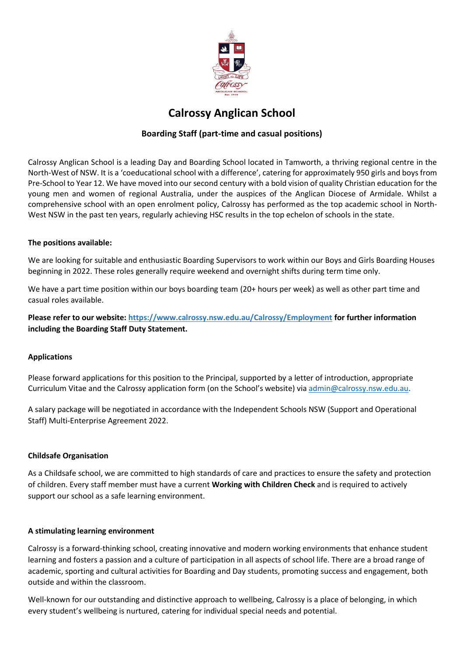

# **Calrossy Anglican School**

# **Boarding Staff (part-time and casual positions)**

Calrossy Anglican School is a leading Day and Boarding School located in Tamworth, a thriving regional centre in the North-West of NSW. It is a 'coeducational school with a difference', catering for approximately 950 girls and boys from Pre-School to Year 12. We have moved into our second century with a bold vision of quality Christian education for the young men and women of regional Australia, under the auspices of the Anglican Diocese of Armidale. Whilst a comprehensive school with an open enrolment policy, Calrossy has performed as the top academic school in North-West NSW in the past ten years, regularly achieving HSC results in the top echelon of schools in the state.

#### **The positions available:**

We are looking for suitable and enthusiastic Boarding Supervisors to work within our Boys and Girls Boarding Houses beginning in 2022. These roles generally require weekend and overnight shifts during term time only.

We have a part time position within our boys boarding team (20+ hours per week) as well as other part time and casual roles available.

**Please refer to our website: https://www.calrossy.nsw.edu.au/Calrossy/Employment for further information including the Boarding Staff Duty Statement.**

## **Applications**

Please forward applications for this position to the Principal, supported by a letter of introduction, appropriate Curriculum Vitae and the Calrossy application form (on the School's website) via [admin@calrossy.nsw.edu.au.](mailto:admin@calrossy.nsw.edu.au)

A salary package will be negotiated in accordance with the Independent Schools NSW (Support and Operational Staff) Multi-Enterprise Agreement 2022.

## **Childsafe Organisation**

As a Childsafe school, we are committed to high standards of care and practices to ensure the safety and protection of children. Every staff member must have a current **Working with Children Check** and is required to actively support our school as a safe learning environment.

#### **A stimulating learning environment**

Calrossy is a forward-thinking school, creating innovative and modern working environments that enhance student learning and fosters a passion and a culture of participation in all aspects of school life. There are a broad range of academic, sporting and cultural activities for Boarding and Day students, promoting success and engagement, both outside and within the classroom.

Well-known for our outstanding and distinctive approach to wellbeing, Calrossy is a place of belonging, in which every student's wellbeing is nurtured, catering for individual special needs and potential.